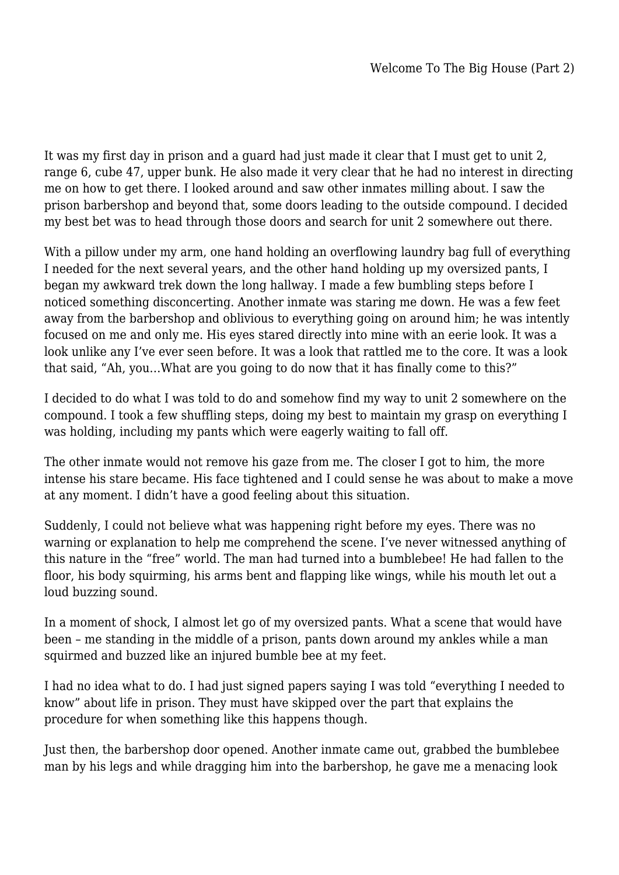It was my first day in prison and a guard had just made it clear that I must get to unit 2, range 6, cube 47, upper bunk. He also made it very clear that he had no interest in directing me on how to get there. I looked around and saw other inmates milling about. I saw the prison barbershop and beyond that, some doors leading to the outside compound. I decided my best bet was to head through those doors and search for unit 2 somewhere out there.

With a pillow under my arm, one hand holding an overflowing laundry bag full of everything I needed for the next several years, and the other hand holding up my oversized pants, I began my awkward trek down the long hallway. I made a few bumbling steps before I noticed something disconcerting. Another inmate was staring me down. He was a few feet away from the barbershop and oblivious to everything going on around him; he was intently focused on me and only me. His eyes stared directly into mine with an eerie look. It was a look unlike any I've ever seen before. It was a look that rattled me to the core. It was a look that said, "Ah, you…What are you going to do now that it has finally come to this?"

I decided to do what I was told to do and somehow find my way to unit 2 somewhere on the compound. I took a few shuffling steps, doing my best to maintain my grasp on everything I was holding, including my pants which were eagerly waiting to fall off.

The other inmate would not remove his gaze from me. The closer I got to him, the more intense his stare became. His face tightened and I could sense he was about to make a move at any moment. I didn't have a good feeling about this situation.

Suddenly, I could not believe what was happening right before my eyes. There was no warning or explanation to help me comprehend the scene. I've never witnessed anything of this nature in the "free" world. The man had turned into a bumblebee! He had fallen to the floor, his body squirming, his arms bent and flapping like wings, while his mouth let out a loud buzzing sound.

In a moment of shock, I almost let go of my oversized pants. What a scene that would have been – me standing in the middle of a prison, pants down around my ankles while a man squirmed and buzzed like an injured bumble bee at my feet.

I had no idea what to do. I had just signed papers saying I was told "everything I needed to know" about life in prison. They must have skipped over the part that explains the procedure for when something like this happens though.

Just then, the barbershop door opened. Another inmate came out, grabbed the bumblebee man by his legs and while dragging him into the barbershop, he gave me a menacing look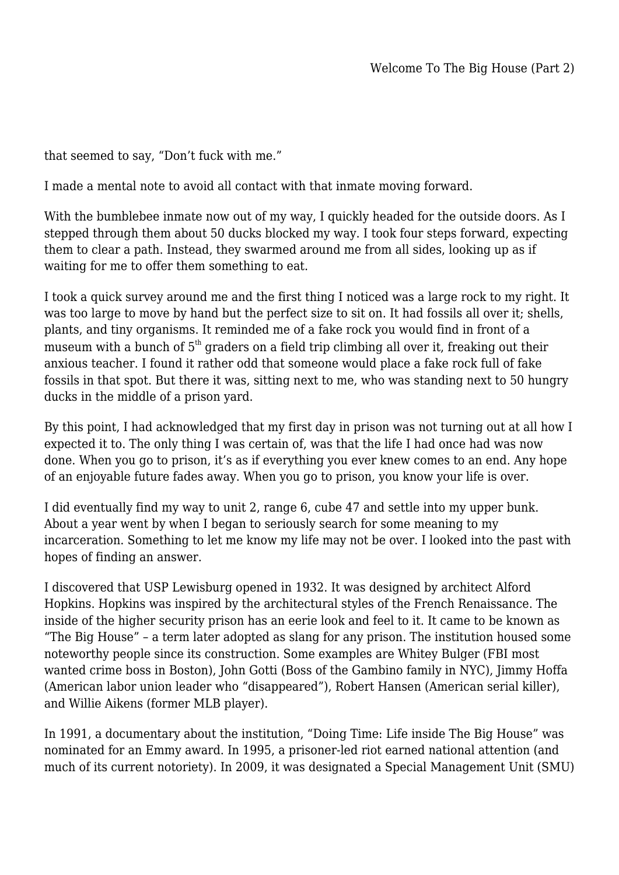that seemed to say, "Don't fuck with me."

I made a mental note to avoid all contact with that inmate moving forward.

With the bumblebee inmate now out of my way, I quickly headed for the outside doors. As I stepped through them about 50 ducks blocked my way. I took four steps forward, expecting them to clear a path. Instead, they swarmed around me from all sides, looking up as if waiting for me to offer them something to eat.

I took a quick survey around me and the first thing I noticed was a large rock to my right. It was too large to move by hand but the perfect size to sit on. It had fossils all over it; shells, plants, and tiny organisms. It reminded me of a fake rock you would find in front of a museum with a bunch of  $5<sup>th</sup>$  graders on a field trip climbing all over it, freaking out their anxious teacher. I found it rather odd that someone would place a fake rock full of fake fossils in that spot. But there it was, sitting next to me, who was standing next to 50 hungry ducks in the middle of a prison yard.

By this point, I had acknowledged that my first day in prison was not turning out at all how I expected it to. The only thing I was certain of, was that the life I had once had was now done. When you go to prison, it's as if everything you ever knew comes to an end. Any hope of an enjoyable future fades away. When you go to prison, you know your life is over.

I did eventually find my way to unit 2, range 6, cube 47 and settle into my upper bunk. About a year went by when I began to seriously search for some meaning to my incarceration. Something to let me know my life may not be over. I looked into the past with hopes of finding an answer.

I discovered that USP Lewisburg opened in 1932. It was designed by architect Alford Hopkins. Hopkins was inspired by the architectural styles of the French Renaissance. The inside of the higher security prison has an eerie look and feel to it. It came to be known as "The Big House" – a term later adopted as slang for any prison. The institution housed some noteworthy people since its construction. Some examples are Whitey Bulger (FBI most wanted crime boss in Boston), John Gotti (Boss of the Gambino family in NYC), Jimmy Hoffa (American labor union leader who "disappeared"), Robert Hansen (American serial killer), and Willie Aikens (former MLB player).

In 1991, a documentary about the institution, "Doing Time: Life inside The Big House" was nominated for an Emmy award. In 1995, a prisoner-led riot earned national attention (and much of its current notoriety). In 2009, it was designated a Special Management Unit (SMU)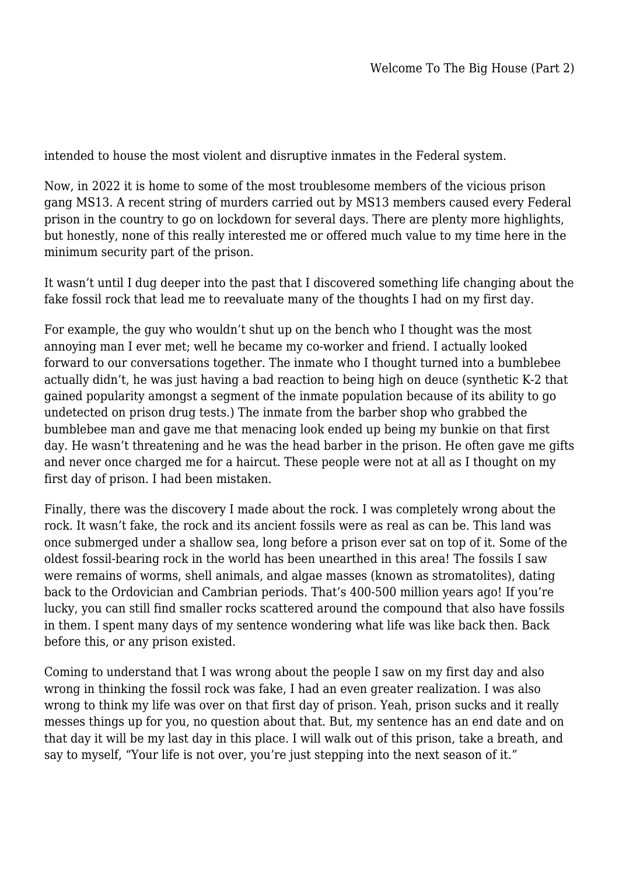intended to house the most violent and disruptive inmates in the Federal system.

Now, in 2022 it is home to some of the most troublesome members of the vicious prison gang MS13. A recent string of murders carried out by MS13 members caused every Federal prison in the country to go on lockdown for several days. There are plenty more highlights, but honestly, none of this really interested me or offered much value to my time here in the minimum security part of the prison.

It wasn't until I dug deeper into the past that I discovered something life changing about the fake fossil rock that lead me to reevaluate many of the thoughts I had on my first day.

For example, the guy who wouldn't shut up on the bench who I thought was the most annoying man I ever met; well he became my co-worker and friend. I actually looked forward to our conversations together. The inmate who I thought turned into a bumblebee actually didn't, he was just having a bad reaction to being high on deuce (synthetic K-2 that gained popularity amongst a segment of the inmate population because of its ability to go undetected on prison drug tests.) The inmate from the barber shop who grabbed the bumblebee man and gave me that menacing look ended up being my bunkie on that first day. He wasn't threatening and he was the head barber in the prison. He often gave me gifts and never once charged me for a haircut. These people were not at all as I thought on my first day of prison. I had been mistaken.

Finally, there was the discovery I made about the rock. I was completely wrong about the rock. It wasn't fake, the rock and its ancient fossils were as real as can be. This land was once submerged under a shallow sea, long before a prison ever sat on top of it. Some of the oldest fossil-bearing rock in the world has been unearthed in this area! The fossils I saw were remains of worms, shell animals, and algae masses (known as stromatolites), dating back to the Ordovician and Cambrian periods. That's 400-500 million years ago! If you're lucky, you can still find smaller rocks scattered around the compound that also have fossils in them. I spent many days of my sentence wondering what life was like back then. Back before this, or any prison existed.

Coming to understand that I was wrong about the people I saw on my first day and also wrong in thinking the fossil rock was fake, I had an even greater realization. I was also wrong to think my life was over on that first day of prison. Yeah, prison sucks and it really messes things up for you, no question about that. But, my sentence has an end date and on that day it will be my last day in this place. I will walk out of this prison, take a breath, and say to myself, "Your life is not over, you're just stepping into the next season of it."